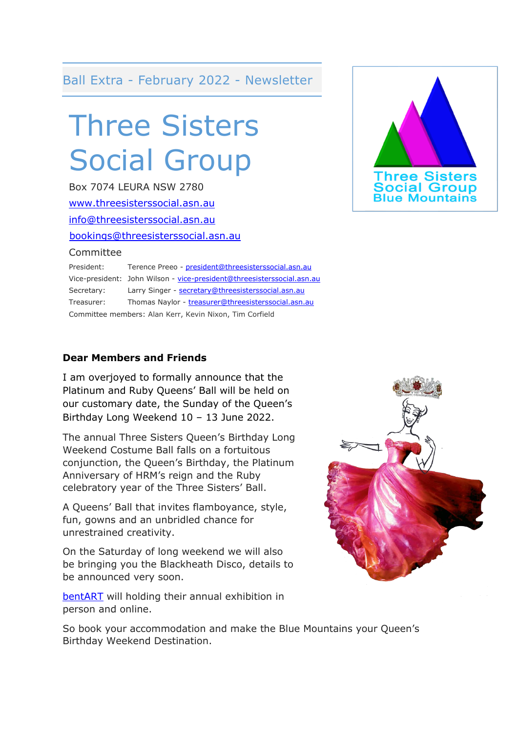#### Ball Extra - February 2022 - Newsletter

# Three Sisters Social Group

Box 7074 LEURA NSW 2780 [www.threesisterssocial.asn.au](http://www.threesisterssocial.asn.au/) [info@threesisterssocial.asn.au](mailto:info@threesisterssocial.asn.au) [bookings@threesisterssocial.asn.au](mailto:bookings@threesisterssocial.asn.au) Committee

President: Terence Preeo - [president@threesisterssocial.asn.au](mailto:president@threesisterssocial.asn.au) Vice-president: John Wilson - [vice-president@threesisterssocial.asn.au](mailto:vice-president@threesisterssocial.asn.au) Secretary: Larry Singer - [secretary@threesisterssocial.asn.au](mailto:secretary@threesisterssocial.asn.au) Treasurer: Thomas Naylor - [treasurer@threesisterssocial.asn.au](mailto:treasurer@threesisterssocial.asn.au) Committee members: Alan Kerr, Kevin Nixon, Tim Corfield

#### **Dear Members and Friends**

I am overjoyed to formally announce that the Platinum and Ruby Queens' Ball will be held on our customary date, the Sunday of the Queen's Birthday Long Weekend 10 – 13 June 2022.

The annual Three Sisters Queen's Birthday Long Weekend Costume Ball falls on a fortuitous conjunction, the Queen's Birthday, the Platinum Anniversary of HRM's reign and the Ruby celebratory year of the Three Sisters' Ball.

A Queens' Ball that invites flamboyance, style, fun, gowns and an unbridled chance for unrestrained creativity.

On the Saturday of long weekend we will also be bringing you the Blackheath Disco, details to be announced very soon.

[bentART](https://bentart.com.au/) will holding their annual exhibition in person and online.

**Three Sisters**<br>Social Group

So book your accommodation and make the Blue Mountains your Queen's Birthday Weekend Destination.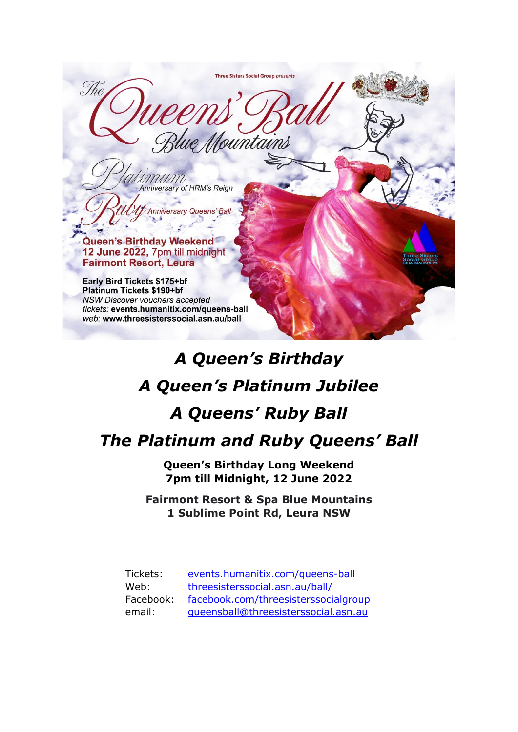Three Sisters Social Group presents The lue Mountains MUM Anniversary of HRM's Reign **Anniversary Queens' Ball** Queen's Birthday Weekend 12 June 2022, 7pm till midnight **Fairmont Resort, Leura** Early Bird Tickets \$175+bf **Platinum Tickets \$190+bf** NSW Discover vouchers accepted tickets: events.humanitix.com/queens-ball web: www.threesisterssocial.asn.au/ball

## *A Queen's Birthday A Queen's Platinum Jubilee A Queens' Ruby Ball The Platinum and Ruby Queens' Ball*

**Queen's Birthday Long Weekend 7pm till Midnight, 12 June 2022**

**Fairmont Resort & Spa Blue Mountains 1 Sublime Point Rd, Leura NSW**

| Tickets:  | events.humanitix.com/queens-ball     |
|-----------|--------------------------------------|
| Web:      | threesisterssocial.asn.au/ball/      |
| Facebook: | facebook.com/threesisterssocialgroup |
| email:    | gueensball@threesisterssocial.asn.au |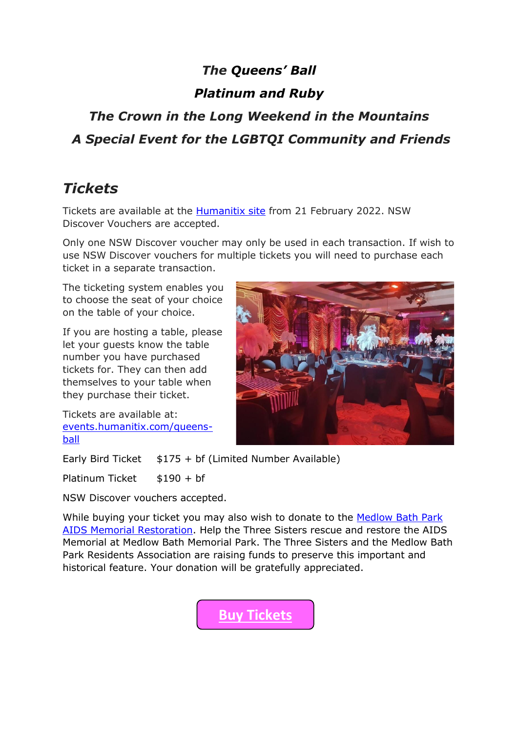## *The Queens' Ball*

#### *Platinum and Ruby*

## *The Crown in the Long Weekend in the Mountains A Special Event for the LGBTQI Community and Friends*

## *Tickets*

Tickets are available at the **Humanitix site** from 21 February 2022. NSW Discover Vouchers are accepted.

Only one NSW Discover voucher may only be used in each transaction. If wish to use NSW Discover vouchers for multiple tickets you will need to purchase each ticket in a separate transaction.

The ticketing system enables you to choose the seat of your choice on the table of your choice.

If you are hosting a table, please let your guests know the table number you have purchased tickets for. They can then add themselves to your table when they purchase their ticket.

Tickets are available at: [events.humanitix.com/queens](https://events.humanitix.com/queens-ball)[ball](https://events.humanitix.com/queens-ball)



Early Bird Ticket  $$175 + bf$  (Limited Number Available)

Platinum Ticket  $$190 + bf$ 

NSW Discover vouchers accepted.

While buying your ticket you may also wish to donate to the Medlow Bath Park [AIDS Memorial Restoration.](https://www.threesisterssocial.asn.au/aids-memorial/) Help the Three Sisters rescue and restore the AIDS Memorial at Medlow Bath Memorial Park. The Three Sisters and the Medlow Bath Park Residents Association are raising funds to preserve this important and historical feature. Your donation will be gratefully appreciated.

**[Buy Tickets](https://events.humanitix.com/queens-ball)**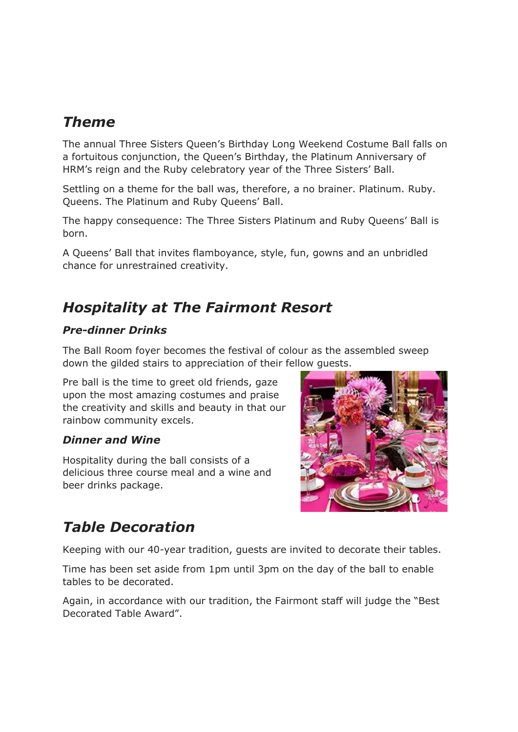#### *Theme*

The annual Three Sisters Queen's Birthday Long Weekend Costume Ball falls on a fortuitous conjunction, the Queen's Birthday, the Platinum Anniversary of HRM's reign and the Ruby celebratory year of the Three Sisters' Ball.

Settling on a theme for the ball was, therefore, a no brainer. Platinum. Ruby. Queens. The Platinum and Ruby Queens' Ball.

The happy consequence: The Three Sisters Platinum and Ruby Queens' Ball is born.

A Queens' Ball that invites flamboyance, style, fun, gowns and an unbridled chance for unrestrained creativity.

## *Hospitality at The Fairmont Resort*

#### *Pre-dinner Drinks*

The Ball Room foyer becomes the festival of colour as the assembled sweep down the gilded stairs to appreciation of their fellow guests.

Pre ball is the time to greet old friends, gaze upon the most amazing costumes and praise the creativity and skills and beauty in that our rainbow community excels.

#### *Dinner and Wine*

Hospitality during the ball consists of a delicious three course meal and a wine and beer drinks package.



## *Table Decoration*

Keeping with our 40-year tradition, guests are invited to decorate their tables.

Time has been set aside from 1pm until 3pm on the day of the ball to enable tables to be decorated.

Again, in accordance with our tradition, the Fairmont staff will judge the "Best Decorated Table Award".